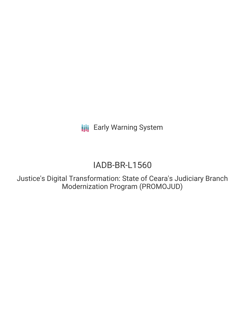**III** Early Warning System

# IADB-BR-L1560

Justice's Digital Transformation: State of Ceara's Judiciary Branch Modernization Program (PROMOJUD)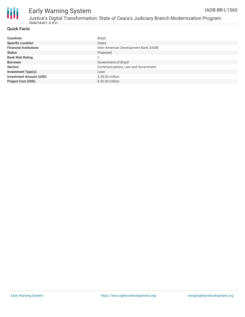

# Early Warning System

Justice's Digital Transformation: State of Ceara's Judiciary Branch Modernization Program (PROMOJUD)

### **Quick Facts**

| <b>Countries</b>               | <b>Brazil</b>                          |
|--------------------------------|----------------------------------------|
| <b>Specific Location</b>       | Ceara                                  |
| <b>Financial Institutions</b>  | Inter-American Development Bank (IADB) |
| <b>Status</b>                  | Proposed                               |
| <b>Bank Risk Rating</b>        | C                                      |
| <b>Borrower</b>                | Government of Brazil                   |
| <b>Sectors</b>                 | Communications, Law and Government     |
| <b>Investment Type(s)</b>      | Loan                                   |
| <b>Investment Amount (USD)</b> | $$28.00$ million                       |
| <b>Project Cost (USD)</b>      | \$35,00 million                        |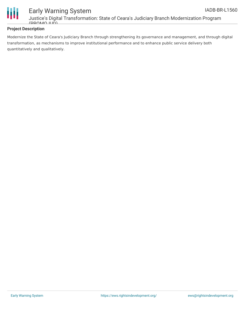

# Early Warning System Justice's Digital Transformation: State of Ceara's Judiciary Branch Modernization Program

### **Project Description**

 $(DDOMO UID)$ 

Modernize the State of Ceara's Judiciary Branch through strengthening its governance and management, and through digital transformation, as mechanisms to improve institutional performance and to enhance public service delivery both quantitatively and qualitatively.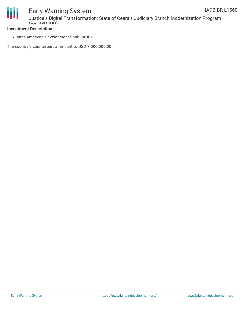

# Early Warning System

Justice's Digital Transformation: State of Ceara's Judiciary Branch Modernization Program  $(DDOMO UID)$ 

## **Investment Description**

• Inter-American Development Bank (IADB)

The country's counterpart ammount to USD 7,000,000.00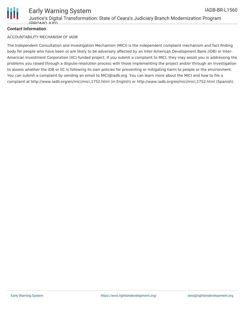

### **Contact Information**

#### ACCOUNTABILITY MECHANISM OF IADB

The Independent Consultation and Investigation Mechanism (MICI) is the independent complaint mechanism and fact-finding body for people who have been or are likely to be adversely affected by an Inter-American Development Bank (IDB) or Inter-American Investment Corporation (IIC)-funded project. If you submit a complaint to MICI, they may assist you in addressing the problems you raised through a dispute-resolution process with those implementing the project and/or through an investigation to assess whether the IDB or IIC is following its own policies for preventing or mitigating harm to people or the environment. You can submit a complaint by sending an email to MICI@iadb.org. You can learn more about the MICI and how to file a complaint at http://www.iadb.org/en/mici/mici,1752.html (in English) or http://www.iadb.org/es/mici/mici,1752.html (Spanish).